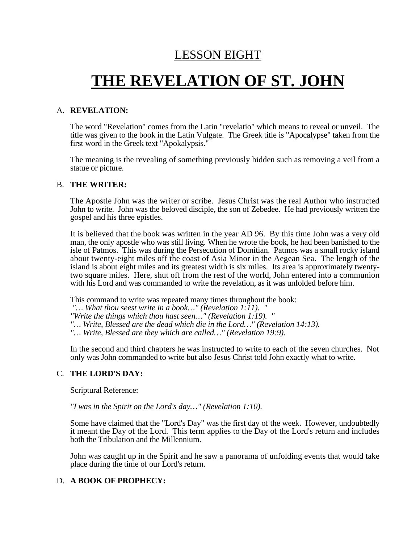### LESSON EIGHT

# **THE REVELATION OF ST. JOHN**

#### A. **REVELATION:**

The word "Revelation" comes from the Latin "revelatio" which means to reveal or unveil. The title was given to the book in the Latin Vulgate. The Greek title is "Apocalypse" taken from the first word in the Greek text "Apokalypsis."

The meaning is the revealing of something previously hidden such as removing a veil from a statue or picture.

#### B. **THE WRITER:**

The Apostle John was the writer or scribe. Jesus Christ was the real Author who instructed John to write. John was the beloved disciple, the son of Zebedee. He had previously written the gospel and his three epistles.

It is believed that the book was written in the year AD 96. By this time John was a very old man, the only apostle who was still living. When he wrote the book, he had been banished to the isle of Patmos. This was during the Persecution of Domitian. Patmos was a small rocky island about twenty-eight miles off the coast of Asia Minor in the Aegean Sea. The length of the island is about eight miles and its greatest width is six miles. Its area is approximately twentytwo square miles. Here, shut off from the rest of the world, John entered into a communion with his Lord and was commanded to write the revelation, as it was unfolded before him.

This command to write was repeated many times throughout the book:

*"… What thou seest write in a book…" (Revelation 1:11). "*

*"Write the things which thou hast seen…" (Revelation 1:19). "*

*"… Write, Blessed are the dead which die in the Lord…" (Revelation 14:13).*

*"… Write, Blessed are they which are called…" (Revelation 19:9).*

In the second and third chapters he was instructed to write to each of the seven churches. Not only was John commanded to write but also Jesus Christ told John exactly what to write.

#### C. **THE LORD'S DAY:**

Scriptural Reference:

*"I was in the Spirit on the Lord's day…" (Revelation 1:10).*

Some have claimed that the "Lord's Day" was the first day of the week. However, undoubtedly it meant the Day of the Lord. This term applies to the Day of the Lord's return and includes both the Tribulation and the Millennium.

John was caught up in the Spirit and he saw a panorama of unfolding events that would take place during the time of our Lord's return.

#### D. **A BOOK OF PROPHECY:**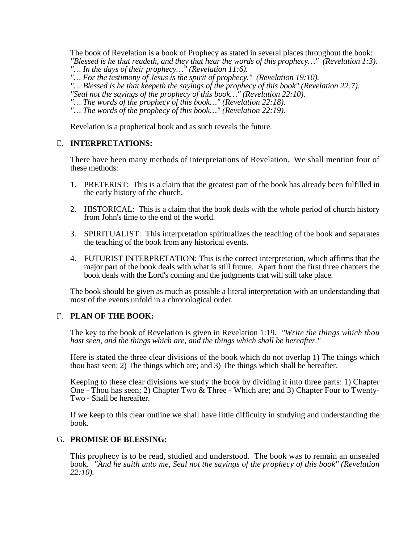The book of Revelation is a book of Prophecy as stated in several places throughout the book: *"Blessed is he that readeth, and they that hear the words of this prophecy…" (Revelation 1:3).*

*"… In the days of their prophecy…" (Revelation 11:6).*

*"… For the testimony of Jesus is the spirit of prophecy." (Revelation 19:10).*

*"… Blessed is he that keepeth the sayings of the prophecy of this book" (Revelation 22:7). "Seal not the sayings of the prophecy of this book…" (Revelation 22:10).*

- *"… The words of the prophecy of this book…" (Revelation 22:18).*
- *"… The words of the prophecy of this book…" (Revelation 22:19).*

Revelation is a prophetical book and as such reveals the future.

#### E. **INTERPRETATIONS:**

There have been many methods of interpretations of Revelation. We shall mention four of these methods:

- 1. PRETERIST: This is a claim that the greatest part of the book has already been fulfilled in the early history of the church.
- 2. HISTORICAL: This is a claim that the book deals with the whole period of church history from John's time to the end of the world.
- 3. SPIRITUALIST: This interpretation spiritualizes the teaching of the book and separates the teaching of the book from any historical events.
- 4. FUTURIST INTERPRETATION: This is the correct interpretation, which affirms that the major part of the book deals with what is still future. Apart from the first three chapters the book deals with the Lord's coming and the judgments that will still take place.

The book should be given as much as possible a literal interpretation with an understanding that most of the events unfold in a chronological order.

#### F. **PLAN OF THE BOOK:**

The key to the book of Revelation is given in Revelation 1:19. *"Write the things which thou hast seen, and the things which are, and the things which shall be hereafter."*

Here is stated the three clear divisions of the book which do not overlap 1) The things which thou hast seen; 2) The things which are; and 3) The things which shall be hereafter.

Keeping to these clear divisions we study the book by dividing it into three parts: 1) Chapter One - Thou has seen; 2) Chapter Two & Three - Which are; and 3) Chapter Four to Twenty-Two - Shall be hereafter.

If we keep to this clear outline we shall have little difficulty in studying and understanding the book.

#### G. **PROMISE OF BLESSING:**

This prophecy is to be read, studied and understood. The book was to remain an unsealed book. *"And he saith unto me, Seal not the sayings of the prophecy of this book" (Revelation 22:10).*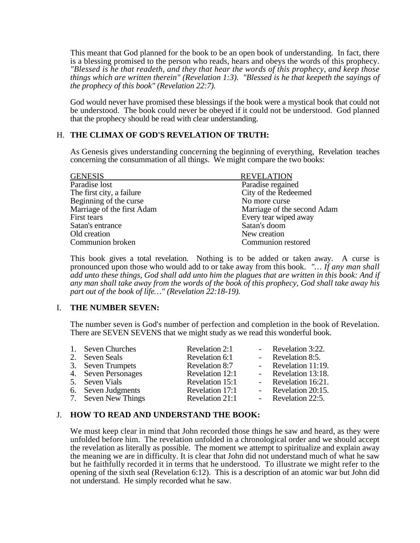This meant that God planned for the book to be an open book of understanding. In fact, there is a blessing promised to the person who reads, hears and obeys the words of this prophecy. *"Blessed is he that readeth, and they that hear the words of this prophecy, and keep those things which are written therein" (Revelation 1:3). "Blessed is he that keepeth the sayings of the prophecy of this book" (Revelation 22:7).*

God would never have promised these blessings if the book were a mystical book that could not be understood. The book could never be obeyed if it could not be understood. God planned that the prophecy should be read with clear understanding.

#### H. **THE CLIMAX OF GOD'S REVELATION OF TRUTH:**

As Genesis gives understanding concerning the beginning of everything, Revelation teaches concerning the consummation of all things. We might compare the two books:

| <b>REVELATION</b>           |
|-----------------------------|
| Paradise regained           |
| City of the Redeemed        |
| No more curse               |
| Marriage of the second Adam |
| Every tear wiped away       |
| Satan's doom                |
| New creation                |
| Communion restored          |
|                             |

This book gives a total revelation. Nothing is to be added or taken away. A curse is pronounced upon those who would add to or take away from this book. *"… If any man shall add unto these things, God shall add unto him the plagues that are written in this book: And if any man shall take away from the words of the book of this prophecy, God shall take away his part out of the book of life…" (Revelation 22:18-19).*

#### I. **THE NUMBER SEVEN:**

The number seven is God's number of perfection and completion in the book of Revelation. There are SEVEN SEVENS that we might study as we read this wonderful book.

| 1. Seven Churches   | Revelation 2:1  | - Revelation 3:22.  |
|---------------------|-----------------|---------------------|
| 2. Seven Seals      | Revelation 6:1  | - Revelation 8:5.   |
| 3. Seven Trumpets   | Revelation 8:7  | - Revelation 11:19. |
| 4. Seven Personages | Revelation 12:1 | - Revelation 13:18. |
| 5. Seven Vials      | Revelation 15:1 | - Revelation 16:21. |
| 6. Seven Judgments  | Revelation 17:1 | - Revelation 20:15. |
| 7. Seven New Things | Revelation 21:1 | - Revelation 22:5.  |

#### J. **HOW TO READ AND UNDERSTAND THE BOOK:**

We must keep clear in mind that John recorded those things he saw and heard, as they were unfolded before him. The revelation unfolded in a chronological order and we should accept the revelation as literally as possible. The moment we attempt to spiritualize and explain away the meaning we are in difficulty. It is clear that John did not understand much of what he saw but he faithfully recorded it in terms that he understood. To illustrate we might refer to the opening of the sixth seal (Revelation 6:12). This is a description of an atomic war but John did not understand. He simply recorded what he saw.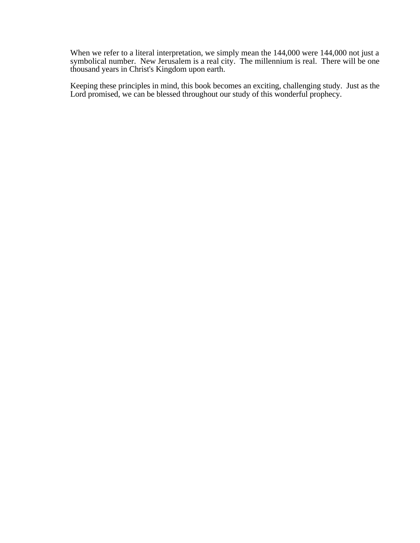When we refer to a literal interpretation, we simply mean the 144,000 were 144,000 not just a symbolical number. New Jerusalem is a real city. The millennium is real. There will be one thousand years in Christ's Kingdom upon earth.

Keeping these principles in mind, this book becomes an exciting, challenging study. Just as the Lord promised, we can be blessed throughout our study of this wonderful prophecy.